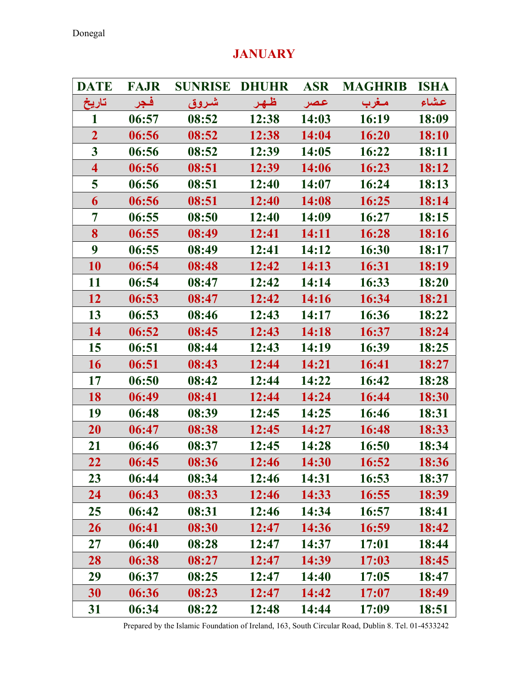# DATE FAJR SUNRISE DHUHR ASR MAGHRIB ISHA عـشاء مـغرب عـصر ظـهـر شـروق فـجر تاريخ 1 06:57 08:52 12:38 14:03 16:19 18:09 2 06:56 08:52 12:38 14:04 16:20 18:10 3 06:56 08:52 12:39 14:05 16:22 18:11 4 06:56 08:51 12:39 14:06 16:23 18:12 5 06:56 08:51 12:40 14:07 16:24 18:13 6 06:56 08:51 12:40 14:08 16:25 18:14 7 06:55 08:50 12:40 14:09 16:27 18:15 8 06:55 08:49 12:41 14:11 16:28 18:16 9 06:55 08:49 12:41 14:12 16:30 18:17 10 06:54 08:48 12:42 14:13 16:31 18:19 11 06:54 08:47 12:42 14:14 16:33 18:20 12 06:53 08:47 12:42 14:16 16:34 18:21 13 06:53 08:46 12:43 14:17 16:36 18:22 14 06:52 08:45 12:43 14:18 16:37 18:24 15 06:51 08:44 12:43 14:19 16:39 18:25 16 06:51 08:43 12:44 14:21 16:41 18:27 17 06:50 08:42 12:44 14:22 16:42 18:28 18 06:49 08:41 12:44 14:24 16:44 18:30 19 06:48 08:39 12:45 14:25 16:46 18:31 20 06:47 08:38 12:45 14:27 16:48 18:33 21 06:46 08:37 12:45 14:28 16:50 18:34 22 06:45 08:36 12:46 14:30 16:52 18:36 23 06:44 08:34 12:46 14:31 16:53 18:37 24 06:43 08:33 12:46 14:33 16:55 18:39 25 06:42 08:31 12:46 14:34 16:57 18:41 26 06:41 08:30 12:47 14:36 16:59 18:42 27 06:40 08:28 12:47 14:37 17:01 18:44 28 06:38 08:27 12:47 14:39 17:03 18:45 29 06:37 08:25 12:47 14:40 17:05 18:47 30 06:36 08:23 12:47 14:42 17:07 18:49 31 06:34 08:22 12:48 14:44 17:09 18:51

### *JANUARY*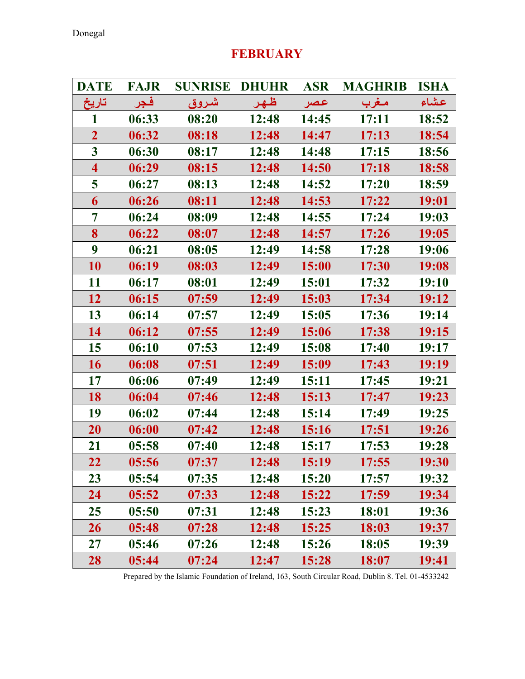# DATE FAJR SUNRISE DHUHR ASR MAGHRIB ISHA عـشاء مـغرب عـصر ظـهـر شـروق فـجر تاريخ 1 06:33 08:20 12:48 14:45 17:11 18:52 2 06:32 08:18 12:48 14:47 17:13 18:54 3 06:30 08:17 12:48 14:48 17:15 18:56 4 06:29 08:15 12:48 14:50 17:18 18:58 5 06:27 08:13 12:48 14:52 17:20 18:59 6 06:26 08:11 12:48 14:53 17:22 19:01 7 06:24 08:09 12:48 14:55 17:24 19:03 8 06:22 08:07 12:48 14:57 17:26 19:05 9 06:21 08:05 12:49 14:58 17:28 19:06 10 06:19 08:03 12:49 15:00 17:30 19:08 11 06:17 08:01 12:49 15:01 17:32 19:10 12 06:15 07:59 12:49 15:03 17:34 19:12 13 06:14 07:57 12:49 15:05 17:36 19:14 14 06:12 07:55 12:49 15:06 17:38 19:15 15 06:10 07:53 12:49 15:08 17:40 19:17 16 06:08 07:51 12:49 15:09 17:43 19:19 17 06:06 07:49 12:49 15:11 17:45 19:21 18 06:04 07:46 12:48 15:13 17:47 19:23 19 06:02 07:44 12:48 15:14 17:49 19:25 20 06:00 07:42 12:48 15:16 17:51 19:26 21 05:58 07:40 12:48 15:17 17:53 19:28 22 05:56 07:37 12:48 15:19 17:55 19:30 23 05:54 07:35 12:48 15:20 17:57 19:32 24 05:52 07:33 12:48 15:22 17:59 19:34 25 05:50 07:31 12:48 15:23 18:01 19:36 26 05:48 07:28 12:48 15:25 18:03 19:37 27 05:46 07:26 12:48 15:26 18:05 19:39 28 05:44 07:24 12:47 15:28 18:07 19:41

### FEBRUARY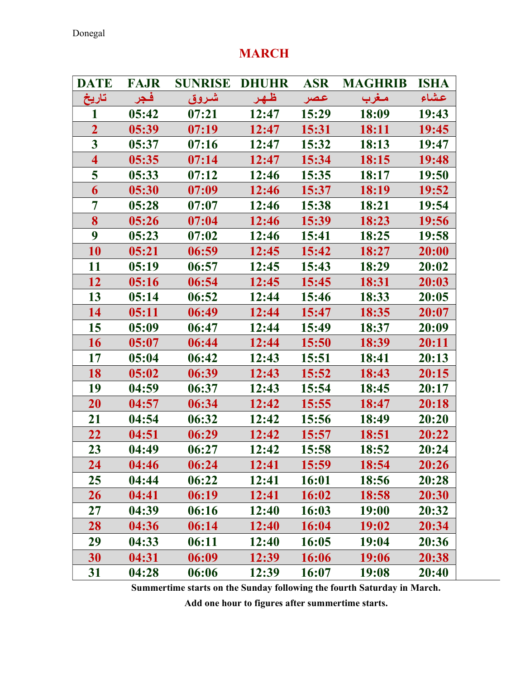## MARCH

| <b>DATE</b>             | <b>FAJR</b> | <b>SUNRISE</b> | <b>DHUHR</b> | <b>ASR</b> | <b>MAGHRIB</b> | <b>ISHA</b> |
|-------------------------|-------------|----------------|--------------|------------|----------------|-------------|
| تاريخ                   | فجر         | شروق           | ظهر          | عصر        | مغرب           | عشاء        |
|                         | 05:42       | 07:21          | 12:47        | 15:29      | 18:09          | 19:43       |
| $\overline{2}$          | 05:39       | 07:19          | 12:47        | 15:31      | 18:11          | 19:45       |
| $\overline{\mathbf{3}}$ | 05:37       | 07:16          | 12:47        | 15:32      | 18:13          | 19:47       |
| $\overline{\mathbf{4}}$ | 05:35       | 07:14          | 12:47        | 15:34      | 18:15          | 19:48       |
| 5                       | 05:33       | 07:12          | 12:46        | 15:35      | 18:17          | 19:50       |
| 6                       | 05:30       | 07:09          | 12:46        | 15:37      | 18:19          | 19:52       |
| 7                       | 05:28       | 07:07          | 12:46        | 15:38      | 18:21          | 19:54       |
| 8                       | 05:26       | 07:04          | 12:46        | 15:39      | 18:23          | 19:56       |
| 9                       | 05:23       | 07:02          | 12:46        | 15:41      | 18:25          | 19:58       |
| 10                      | 05:21       | 06:59          | 12:45        | 15:42      | 18:27          | 20:00       |
| 11                      | 05:19       | 06:57          | 12:45        | 15:43      | 18:29          | 20:02       |
| 12                      | 05:16       | 06:54          | 12:45        | 15:45      | 18:31          | 20:03       |
| 13                      | 05:14       | 06:52          | 12:44        | 15:46      | 18:33          | 20:05       |
| 14                      | 05:11       | 06:49          | 12:44        | 15:47      | 18:35          | 20:07       |
| 15                      | 05:09       | 06:47          | 12:44        | 15:49      | 18:37          | 20:09       |
| 16                      | 05:07       | 06:44          | 12:44        | 15:50      | 18:39          | 20:11       |
| 17                      | 05:04       | 06:42          | 12:43        | 15:51      | 18:41          | 20:13       |
| 18                      | 05:02       | 06:39          | 12:43        | 15:52      | 18:43          | 20:15       |
| 19                      | 04:59       | 06:37          | 12:43        | 15:54      | 18:45          | 20:17       |
| 20                      | 04:57       | 06:34          | 12:42        | 15:55      | 18:47          | 20:18       |
| 21                      | 04:54       | 06:32          | 12:42        | 15:56      | 18:49          | 20:20       |
| 22                      | 04:51       | 06:29          | 12:42        | 15:57      | 18:51          | 20:22       |
| 23                      | 04:49       | 06:27          | 12:42        | 15:58      | 18:52          | 20:24       |
| 24                      | 04:46       | 06:24          | 12:41        | 15:59      | 18:54          | 20:26       |
| 25                      | 04:44       | 06:22          | 12:41        | 16:01      | 18:56          | 20:28       |
| 26                      | 04:41       | 06:19          | 12:41        | 16:02      | 18:58          | 20:30       |
| $27\,$                  | 04:39       | 06:16          | 12:40        | 16:03      | 19:00          | 20:32       |
| 28                      | 04:36       | 06:14          | 12:40        | 16:04      | 19:02          | 20:34       |
| 29                      | 04:33       | 06:11          | 12:40        | 16:05      | 19:04          | 20:36       |
| 30                      | 04:31       | 06:09          | 12:39        | 16:06      | 19:06          | 20:38       |
| 31                      | 04:28       | 06:06          | 12:39        | 16:07      | 19:08          | 20:40       |

Summertime starts on the Sunday following the fourth Saturday in March.

Add one hour to figures after summertime starts.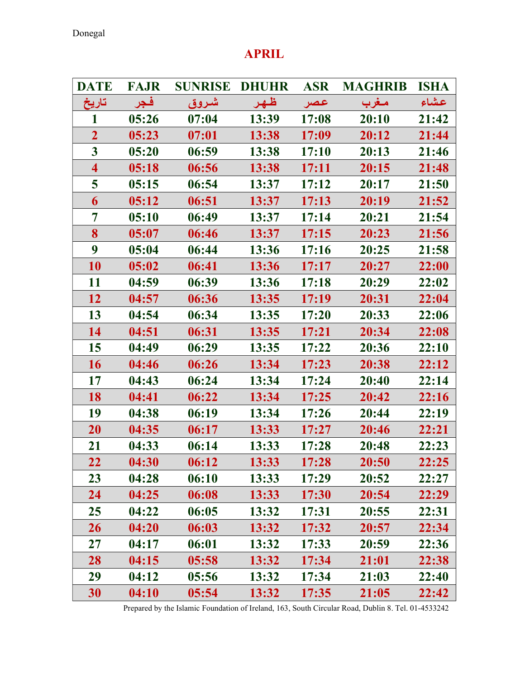# DATE FAJR SUNRISE DHUHR ASR MAGHRIB ISHA عـشاء مـغرب عـصر ظـهـر شـروق فـجر تاريخ 1 05:26 07:04 13:39 17:08 20:10 21:42 2 05:23 07:01 13:38 17:09 20:12 21:44 3 05:20 06:59 13:38 17:10 20:13 21:46 4 05:18 06:56 13:38 17:11 20:15 21:48 5 05:15 06:54 13:37 17:12 20:17 21:50 6 05:12 06:51 13:37 17:13 20:19 21:52 7 05:10 06:49 13:37 17:14 20:21 21:54 8 05:07 06:46 13:37 17:15 20:23 21:56 9 05:04 06:44 13:36 17:16 20:25 21:58 10 05:02 06:41 13:36 17:17 20:27 22:00 11 04:59 06:39 13:36 17:18 20:29 22:02 12 04:57 06:36 13:35 17:19 20:31 22:04 13 04:54 06:34 13:35 17:20 20:33 22:06 14 04:51 06:31 13:35 17:21 20:34 22:08 15 04:49 06:29 13:35 17:22 20:36 22:10 16 04:46 06:26 13:34 17:23 20:38 22:12 17 04:43 06:24 13:34 17:24 20:40 22:14 18 04:41 06:22 13:34 17:25 20:42 22:16 19 04:38 06:19 13:34 17:26 20:44 22:19 20 04:35 06:17 13:33 17:27 20:46 22:21 21 04:33 06:14 13:33 17:28 20:48 22:23 22 04:30 06:12 13:33 17:28 20:50 22:25 23 04:28 06:10 13:33 17:29 20:52 22:27 24 04:25 06:08 13:33 17:30 20:54 22:29 25 04:22 06:05 13:32 17:31 20:55 22:31 26 04:20 06:03 13:32 17:32 20:57 22:34 27 04:17 06:01 13:32 17:33 20:59 22:36 28 04:15 05:58 13:32 17:34 21:01 22:38 29 04:12 05:56 13:32 17:34 21:03 22:40 30 04:10 05:54 13:32 17:35 21:05 22:42

### APRIL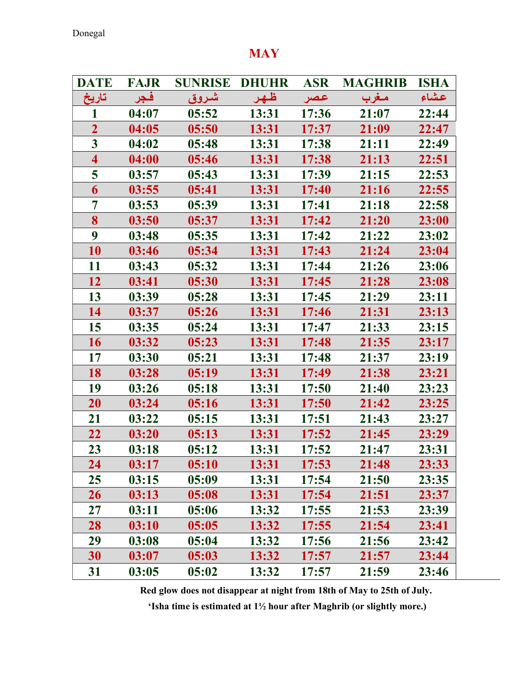Donegal

## **MAY**

| <b>DATE</b>             | <b>FAJR</b> | <b>SUNRISE</b> | <b>DHUHR</b> | <b>ASR</b> | <b>MAGHRIB</b> | <b>ISHA</b> |
|-------------------------|-------------|----------------|--------------|------------|----------------|-------------|
| تاريخ                   | فجر         | شروق           | ظهر          | عصر        | مغرب           | عشاء        |
|                         | 04:07       | 05:52          | 13:31        | 17:36      | 21:07          | 22:44       |
| $\overline{2}$          | 04:05       | 05:50          | 13:31        | 17:37      | 21:09          | 22:47       |
| $\overline{\mathbf{3}}$ | 04:02       | 05:48          | 13:31        | 17:38      | 21:11          | 22:49       |
| $\overline{\mathbf{4}}$ | 04:00       | 05:46          | 13:31        | 17:38      | 21:13          | 22:51       |
| 5                       | 03:57       | 05:43          | 13:31        | 17:39      | 21:15          | 22:53       |
| 6                       | 03:55       | 05:41          | 13:31        | 17:40      | 21:16          | 22:55       |
| $\overline{7}$          | 03:53       | 05:39          | 13:31        | 17:41      | 21:18          | 22:58       |
| 8                       | 03:50       | 05:37          | 13:31        | 17:42      | 21:20          | 23:00       |
| $\boldsymbol{9}$        | 03:48       | 05:35          | 13:31        | 17:42      | 21:22          | 23:02       |
| 10                      | 03:46       | 05:34          | 13:31        | 17:43      | 21:24          | 23:04       |
| 11                      | 03:43       | 05:32          | 13:31        | 17:44      | 21:26          | 23:06       |
| 12                      | 03:41       | 05:30          | 13:31        | 17:45      | 21:28          | 23:08       |
| 13                      | 03:39       | 05:28          | 13:31        | 17:45      | 21:29          | 23:11       |
| 14                      | 03:37       | 05:26          | 13:31        | 17:46      | 21:31          | 23:13       |
| 15                      | 03:35       | 05:24          | 13:31        | 17:47      | 21:33          | 23:15       |
| 16                      | 03:32       | 05:23          | 13:31        | 17:48      | 21:35          | 23:17       |
| 17                      | 03:30       | 05:21          | 13:31        | 17:48      | 21:37          | 23:19       |
| 18                      | 03:28       | 05:19          | 13:31        | 17:49      | 21:38          | 23:21       |
| 19                      | 03:26       | 05:18          | 13:31        | 17:50      | 21:40          | 23:23       |
| 20                      | 03:24       | 05:16          | 13:31        | 17:50      | 21:42          | 23:25       |
| 21                      | 03:22       | 05:15          | 13:31        | 17:51      | 21:43          | 23:27       |
| 22                      | 03:20       | 05:13          | 13:31        | 17:52      | 21:45          | 23:29       |
| 23                      | 03:18       | 05:12          | 13:31        | 17:52      | 21:47          | 23:31       |
| 24                      | 03:17       | 05:10          | 13:31        | 17:53      | 21:48          | 23:33       |
| 25                      | 03:15       | 05:09          | 13:31        | 17:54      | 21:50          | 23:35       |
| 26                      | 03:13       | 05:08          | 13:31        | 17:54      | 21:51          | 23:37       |
| 27                      | 03:11       | 05:06          | 13:32        | 17:55      | 21:53          | 23:39       |
| 28                      | 03:10       | 05:05          | 13:32        | 17:55      | 21:54          | 23:41       |
| 29                      | 03:08       | 05:04          | 13:32        | 17:56      | 21:56          | 23:42       |
| 30                      | 03:07       | 05:03          | 13:32        | 17:57      | 21:57          | 23:44       |
| 31                      | 03:05       | 05:02          | 13:32        | 17:57      | 21:59          | 23:46       |

Red glow does not disappear at night from 18th of May to 25th of July.

'Isha time is estimated at 1½ hour after Maghrib (or slightly more.)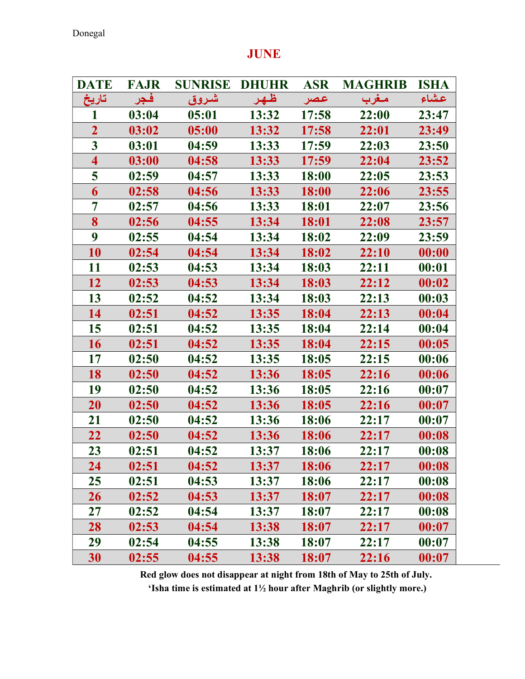## DATE FAJR SUNRISE DHUHR ASR MAGHRIB ISHA عـشاء مـغرب عـصر ظـهـر شـروق فـجر تاريخ 1 03:04 05:01 13:32 17:58 22:00 23:47 2 03:02 05:00 13:32 17:58 22:01 23:49 3 03:01 04:59 13:33 17:59 22:03 23:50 4 03:00 04:58 13:33 17:59 22:04 23:52 5 02:59 04:57 13:33 18:00 22:05 23:53 6 02:58 04:56 13:33 18:00 22:06 23:55 7 02:57 04:56 13:33 18:01 22:07 23:56 8 02:56 04:55 13:34 18:01 22:08 23:57 9 02:55 04:54 13:34 18:02 22:09 23:59 10 02:54 04:54 13:34 18:02 22:10 00:00 11 02:53 04:53 13:34 18:03 22:11 00:01 12 02:53 04:53 13:34 18:03 22:12 00:02 13 02:52 04:52 13:34 18:03 22:13 00:03 14 02:51 04:52 13:35 18:04 22:13 00:04 15 02:51 04:52 13:35 18:04 22:14 00:04 16 02:51 04:52 13:35 18:04 22:15 00:05 17 02:50 04:52 13:35 18:05 22:15 00:06 18 02:50 04:52 13:36 18:05 22:16 00:06 19 02:50 04:52 13:36 18:05 22:16 00:07 20 02:50 04:52 13:36 18:05 22:16 00:07 21 02:50 04:52 13:36 18:06 22:17 00:07 22 02:50 04:52 13:36 18:06 22:17 00:08 23 02:51 04:52 13:37 18:06 22:17 00:08 24 02:51 04:52 13:37 18:06 22:17 00:08 25 02:51 04:53 13:37 18:06 22:17 00:08 26 02:52 04:53 13:37 18:07 22:17 00:08 27 02:52 04:54 13:37 18:07 22:17 00:08 28 02:53 04:54 13:38 18:07 22:17 00:07 29 02:54 04:55 13:38 18:07 22:17 00:07 30 02:55 04:55 13:38 18:07 22:16 00:07

#### JUNE

Red glow does not disappear at night from 18th of May to 25th of July.

'Isha time is estimated at 1½ hour after Maghrib (or slightly more.)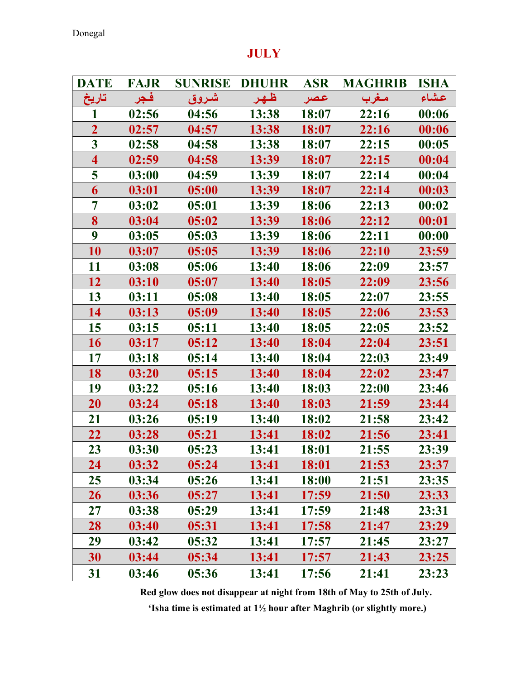## DATE FAJR SUNRISE DHUHR ASR MAGHRIB ISHA عـشاء مـغرب عـصر ظـهـر شـروق فـجر تاريخ 1 02:56 04:56 13:38 18:07 22:16 00:06 2 02:57 04:57 13:38 18:07 22:16 00:06 3 02:58 04:58 13:38 18:07 22:15 00:05 4 02:59 04:58 13:39 18:07 22:15 00:04 5 03:00 04:59 13:39 18:07 22:14 00:04 6 03:01 05:00 13:39 18:07 22:14 00:03 7 03:02 05:01 13:39 18:06 22:13 00:02 8 03:04 05:02 13:39 18:06 22:12 00:01 9 03:05 05:03 13:39 18:06 22:11 00:00 10 03:07 05:05 13:39 18:06 22:10 23:59 11 03:08 05:06 13:40 18:06 22:09 23:57 12 03:10 05:07 13:40 18:05 22:09 23:56 13 03:11 05:08 13:40 18:05 22:07 23:55 14 03:13 05:09 13:40 18:05 22:06 23:53 15 03:15 05:11 13:40 18:05 22:05 23:52 16 03:17 05:12 13:40 18:04 22:04 23:51 17 03:18 05:14 13:40 18:04 22:03 23:49 18 03:20 05:15 13:40 18:04 22:02 23:47 19 03:22 05:16 13:40 18:03 22:00 23:46 20 03:24 05:18 13:40 18:03 21:59 23:44 21 03:26 05:19 13:40 18:02 21:58 23:42 22 03:28 05:21 13:41 18:02 21:56 23:41 23 03:30 05:23 13:41 18:01 21:55 23:39 24 03:32 05:24 13:41 18:01 21:53 23:37 25 03:34 05:26 13:41 18:00 21:51 23:35 26 03:36 05:27 13:41 17:59 21:50 23:33

### **JULY**

Red glow does not disappear at night from 18th of May to 25th of July.

27 03:38 05:29 13:41 17:59 21:48 23:31 28 03:40 05:31 13:41 17:58 21:47 23:29 29 03:42 05:32 13:41 17:57 21:45 23:27 30 03:44 05:34 13:41 17:57 21:43 23:25 31 03:46 05:36 13:41 17:56 21:41 23:23

'Isha time is estimated at 1½ hour after Maghrib (or slightly more.)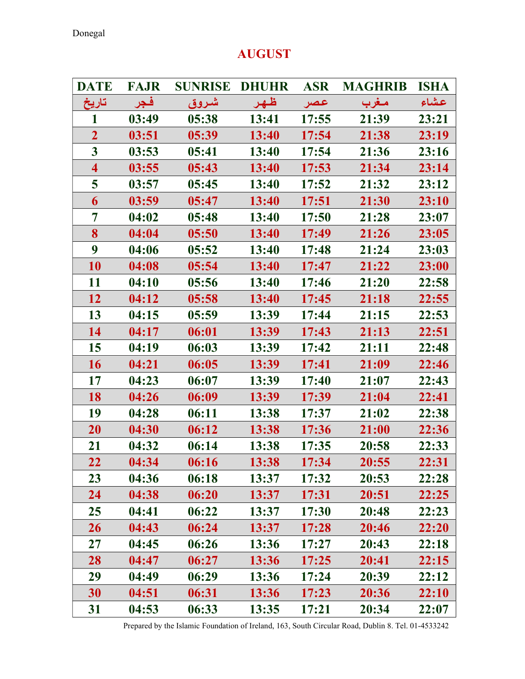## AUGUST

| <b>DATE</b>             | <b>FAJR</b> | <b>SUNRISE DHUHR</b> |       |       | <b>ASR MAGHRIB ISHA</b> |       |
|-------------------------|-------------|----------------------|-------|-------|-------------------------|-------|
| تاريخ                   | فجر         | شروق                 | ظهر   | اعصر  | مغرب                    | عشاء  |
| 1                       | 03:49       | 05:38                | 13:41 | 17:55 | 21:39                   | 23:21 |
| $\overline{2}$          | 03:51       | 05:39                | 13:40 | 17:54 | 21:38                   | 23:19 |
| $\overline{\mathbf{3}}$ | 03:53       | 05:41                | 13:40 | 17:54 | 21:36                   | 23:16 |
| $\overline{\mathbf{4}}$ | 03:55       | 05:43                | 13:40 | 17:53 | 21:34                   | 23:14 |
| 5                       | 03:57       | 05:45                | 13:40 | 17:52 | 21:32                   | 23:12 |
| 6                       | 03:59       | 05:47                | 13:40 | 17:51 | 21:30                   | 23:10 |
| 7                       | 04:02       | 05:48                | 13:40 | 17:50 | 21:28                   | 23:07 |
| 8                       | 04:04       | 05:50                | 13:40 | 17:49 | 21:26                   | 23:05 |
| 9                       | 04:06       | 05:52                | 13:40 | 17:48 | 21:24                   | 23:03 |
| 10                      | 04:08       | 05:54                | 13:40 | 17:47 | 21:22                   | 23:00 |
| 11                      | 04:10       | 05:56                | 13:40 | 17:46 | 21:20                   | 22:58 |
| 12                      | 04:12       | 05:58                | 13:40 | 17:45 | 21:18                   | 22:55 |
| 13                      | 04:15       | 05:59                | 13:39 | 17:44 | 21:15                   | 22:53 |
| 14                      | 04:17       | 06:01                | 13:39 | 17:43 | 21:13                   | 22:51 |
| 15                      | 04:19       | 06:03                | 13:39 | 17:42 | 21:11                   | 22:48 |
| 16                      | 04:21       | 06:05                | 13:39 | 17:41 | 21:09                   | 22:46 |
| 17                      | 04:23       | 06:07                | 13:39 | 17:40 | 21:07                   | 22:43 |
| 18                      | 04:26       | 06:09                | 13:39 | 17:39 | 21:04                   | 22:41 |
| 19                      | 04:28       | 06:11                | 13:38 | 17:37 | 21:02                   | 22:38 |
| 20                      | 04:30       | 06:12                | 13:38 | 17:36 | 21:00                   | 22:36 |
| 21                      | 04:32       | 06:14                | 13:38 | 17:35 | 20:58                   | 22:33 |
| 22                      | 04:34       | 06:16                | 13:38 | 17:34 | 20:55                   | 22:31 |
| 23                      | 04:36       | 06:18                | 13:37 | 17:32 | 20:53                   | 22:28 |
| 24                      | 04:38       | 06:20                | 13:37 | 17:31 | 20:51                   | 22:25 |
| 25                      | 04:41       | 06:22                | 13:37 | 17:30 | 20:48                   | 22:23 |
| 26                      | 04:43       | 06:24                | 13:37 | 17:28 | 20:46                   | 22:20 |
| 27                      | 04:45       | 06:26                | 13:36 | 17:27 | 20:43                   | 22:18 |
| 28                      | 04:47       | 06:27                | 13:36 | 17:25 | 20:41                   | 22:15 |
| 29                      | 04:49       | 06:29                | 13:36 | 17:24 | 20:39                   | 22:12 |
| 30                      | 04:51       | 06:31                | 13:36 | 17:23 | 20:36                   | 22:10 |
| 31                      | 04:53       | 06:33                | 13:35 | 17:21 | 20:34                   | 22:07 |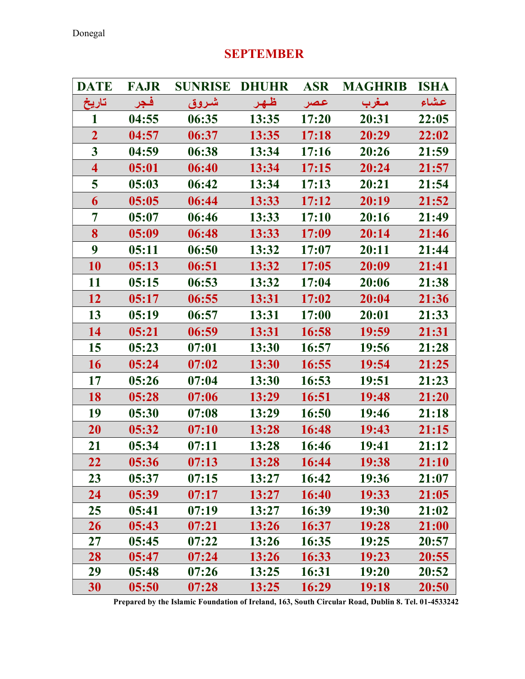# DATE FAJR SUNRISE DHUHR ASR MAGHRIB ISHA عـشاء مـغرب عـصر ظـهـر شـروق فـجر تاريخ 1 04:55 06:35 13:35 17:20 20:31 22:05 2 04:57 06:37 13:35 17:18 20:29 22:02 3 04:59 06:38 13:34 17:16 20:26 21:59 4 05:01 06:40 13:34 17:15 20:24 21:57 5 05:03 06:42 13:34 17:13 20:21 21:54 6 05:05 06:44 13:33 17:12 20:19 21:52 7 05:07 06:46 13:33 17:10 20:16 21:49 8 05:09 06:48 13:33 17:09 20:14 21:46 9 05:11 06:50 13:32 17:07 20:11 21:44 10 05:13 06:51 13:32 17:05 20:09 21:41 11 05:15 06:53 13:32 17:04 20:06 21:38 12 05:17 06:55 13:31 17:02 20:04 21:36 13 05:19 06:57 13:31 17:00 20:01 21:33 14 05:21 06:59 13:31 16:58 19:59 21:31 15 05:23 07:01 13:30 16:57 19:56 21:28 16 05:24 07:02 13:30 16:55 19:54 21:25 17 05:26 07:04 13:30 16:53 19:51 21:23 18 05:28 07:06 13:29 16:51 19:48 21:20 19 05:30 07:08 13:29 16:50 19:46 21:18 20 05:32 07:10 13:28 16:48 19:43 21:15 21 05:34 07:11 13:28 16:46 19:41 21:12 22 05:36 07:13 13:28 16:44 19:38 21:10 23 05:37 07:15 13:27 16:42 19:36 21:07 24 05:39 07:17 13:27 16:40 19:33 21:05 25 05:41 07:19 13:27 16:39 19:30 21:02 26 05:43 07:21 13:26 16:37 19:28 21:00 27 05:45 07:22 13:26 16:35 19:25 20:57 28 05:47 07:24 13:26 16:33 19:23 20:55 29 05:48 07:26 13:25 16:31 19:20 20:52 30 05:50 07:28 13:25 16:29 19:18 20:50

### SEPTEMBER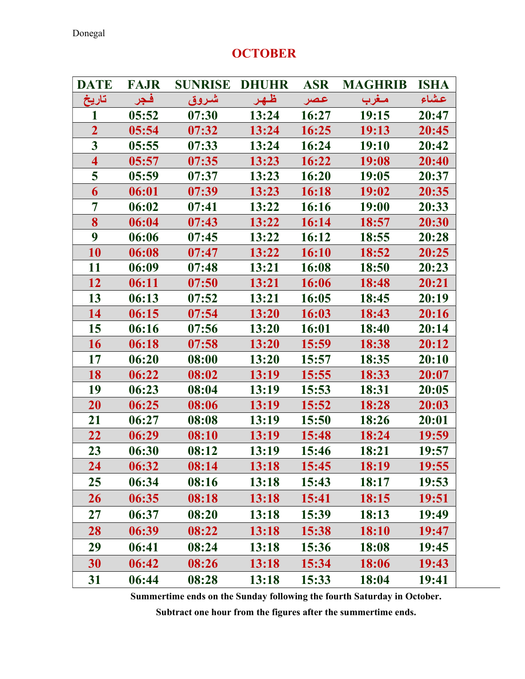### **OCTOBER**

| <b>DATE</b>             | <b>FAJR</b> | <b>SUNRISE</b> | <b>DHUHR</b> | <b>ASR</b> | <b>MAGHRIB</b> | <b>ISHA</b> |
|-------------------------|-------------|----------------|--------------|------------|----------------|-------------|
| تاريخ                   | فجر         | شروق           | ظهر          | عصر        | مغرب           | عشاء        |
| 1                       | 05:52       | 07:30          | 13:24        | 16:27      | 19:15          | 20:47       |
| $\overline{2}$          | 05:54       | 07:32          | 13:24        | 16:25      | 19:13          | 20:45       |
| $\overline{\mathbf{3}}$ | 05:55       | 07:33          | 13:24        | 16:24      | 19:10          | 20:42       |
| $\overline{\mathbf{4}}$ | 05:57       | 07:35          | 13:23        | 16:22      | 19:08          | 20:40       |
| 5                       | 05:59       | 07:37          | 13:23        | 16:20      | 19:05          | 20:37       |
| 6                       | 06:01       | 07:39          | 13:23        | 16:18      | 19:02          | 20:35       |
| 7                       | 06:02       | 07:41          | 13:22        | 16:16      | 19:00          | 20:33       |
| 8                       | 06:04       | 07:43          | 13:22        | 16:14      | 18:57          | 20:30       |
| 9                       | 06:06       | 07:45          | 13:22        | 16:12      | 18:55          | 20:28       |
| 10                      | 06:08       | 07:47          | 13:22        | 16:10      | 18:52          | 20:25       |
| 11                      | 06:09       | 07:48          | 13:21        | 16:08      | 18:50          | 20:23       |
| 12                      | 06:11       | 07:50          | <b>13:21</b> | 16:06      | 18:48          | 20:21       |
| 13                      | 06:13       | 07:52          | 13:21        | 16:05      | 18:45          | 20:19       |
| 14                      | 06:15       | 07:54          | 13:20        | 16:03      | 18:43          | 20:16       |
| 15                      | 06:16       | 07:56          | 13:20        | 16:01      | 18:40          | 20:14       |
| 16                      | 06:18       | 07:58          | 13:20        | 15:59      | 18:38          | 20:12       |
| 17                      | 06:20       | 08:00          | 13:20        | 15:57      | 18:35          | 20:10       |
| 18                      | 06:22       | 08:02          | 13:19        | 15:55      | 18:33          | 20:07       |
| 19                      | 06:23       | 08:04          | 13:19        | 15:53      | 18:31          | 20:05       |
| 20                      | 06:25       | 08:06          | 13:19        | 15:52      | 18:28          | 20:03       |
| 21                      | 06:27       | 08:08          | 13:19        | 15:50      | 18:26          | 20:01       |
| 22                      | 06:29       | 08:10          | 13:19        | 15:48      | 18:24          | 19:59       |
| 23                      | 06:30       | 08:12          | 13:19        | 15:46      | 18:21          | 19:57       |
| 24                      | 06:32       | 08:14          | 13:18        | 15:45      | 18:19          | 19:55       |
| 25                      | 06:34       | 08:16          | 13:18        | 15:43      | 18:17          | 19:53       |
| <b>26</b>               | 06:35       | 08:18          | 13:18        | 15:41      | 18:15          | 19:51       |
| 27                      | 06:37       | 08:20          | 13:18        | 15:39      | 18:13          | 19:49       |
| 28                      | 06:39       | 08:22          | 13:18        | 15:38      | <b>18:10</b>   | 19:47       |
| 29                      | 06:41       | 08:24          | 13:18        | 15:36      | 18:08          | 19:45       |
| 30                      | 06:42       | 08:26          | 13:18        | 15:34      | 18:06          | 19:43       |
| 31                      | 06:44       | 08:28          | 13:18        | 15:33      | 18:04          | 19:41       |

Summertime ends on the Sunday following the fourth Saturday in October.

Subtract one hour from the figures after the summertime ends.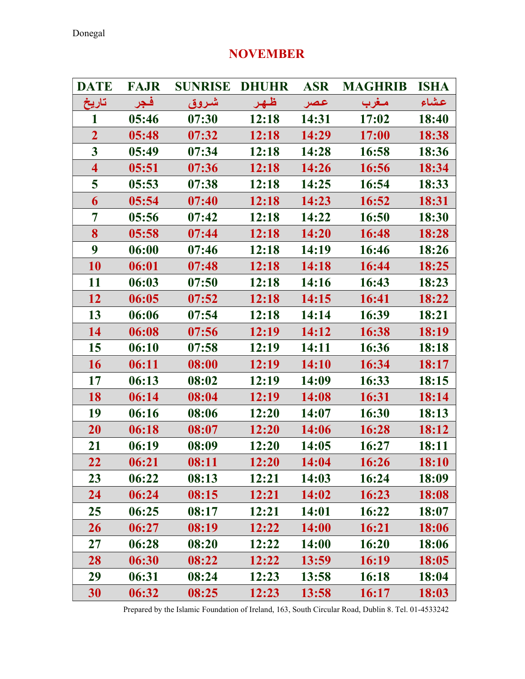# DATE FAJR SUNRISE DHUHR ASR MAGHRIB ISHA عـشاء مـغرب عـصر ظـهـر شـروق فـجر تاريخ 1 05:46 07:30 12:18 14:31 17:02 18:40 2 05:48 07:32 12:18 14:29 17:00 18:38 3 05:49 07:34 12:18 14:28 16:58 18:36 4 05:51 07:36 12:18 14:26 16:56 18:34 5 05:53 07:38 12:18 14:25 16:54 18:33 6 05:54 07:40 12:18 14:23 16:52 18:31 7 05:56 07:42 12:18 14:22 16:50 18:30 8 05:58 07:44 12:18 14:20 16:48 18:28 9 06:00 07:46 12:18 14:19 16:46 18:26 10 06:01 07:48 12:18 14:18 16:44 18:25 11 06:03 07:50 12:18 14:16 16:43 18:23 12 06:05 07:52 12:18 14:15 16:41 18:22 13 06:06 07:54 12:18 14:14 16:39 18:21 14 06:08 07:56 12:19 14:12 16:38 18:19 15 06:10 07:58 12:19 14:11 16:36 18:18 16 06:11 08:00 12:19 14:10 16:34 18:17 17 06:13 08:02 12:19 14:09 16:33 18:15 18 06:14 08:04 12:19 14:08 16:31 18:14 19 06:16 08:06 12:20 14:07 16:30 18:13 20 06:18 08:07 12:20 14:06 16:28 18:12 21 06:19 08:09 12:20 14:05 16:27 18:11 22 06:21 08:11 12:20 14:04 16:26 18:10 23 06:22 08:13 12:21 14:03 16:24 18:09 24 06:24 08:15 12:21 14:02 16:23 18:08 25 06:25 08:17 12:21 14:01 16:22 18:07 26 06:27 08:19 12:22 14:00 16:21 18:06 27 06:28 08:20 12:22 14:00 16:20 18:06 28 06:30 08:22 12:22 13:59 16:19 18:05 29 06:31 08:24 12:23 13:58 16:18 18:04

### NOVEMBER

Prepared by the Islamic Foundation of Ireland, 163, South Circular Road, Dublin 8. Tel. 01-4533242

30 06:32 08:25 12:23 13:58 16:17 18:03